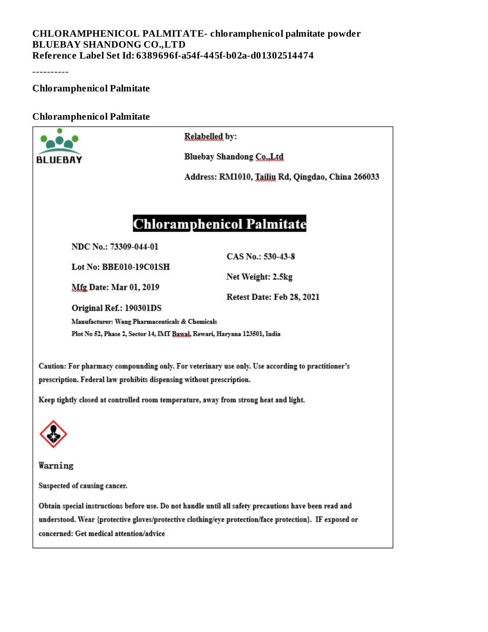#### **CHLORAMPHENICOL PALMITATE- chloramphenicol palmitate powder BLUEBAY SHANDONG CO.,LTD Reference Label Set Id: 6389696f-a54f-445f-b02a-d01302514474**

----------

**Chloramphenicol Palmitate**

#### **Chloramphenicol Palmitate**

|                                                                                                                                                                                                                                                            | Relabelled by:                                    |  |  |  |  |  |
|------------------------------------------------------------------------------------------------------------------------------------------------------------------------------------------------------------------------------------------------------------|---------------------------------------------------|--|--|--|--|--|
| BLUEBAY                                                                                                                                                                                                                                                    | Bluebay Shandong Co., Ltd                         |  |  |  |  |  |
|                                                                                                                                                                                                                                                            | Address: RM1010, Tailiu Rd, Qingdao, China 266033 |  |  |  |  |  |
|                                                                                                                                                                                                                                                            |                                                   |  |  |  |  |  |
|                                                                                                                                                                                                                                                            | <b>Chloramphenicol Palmitate</b>                  |  |  |  |  |  |
| NDC No.: 73309-044-01                                                                                                                                                                                                                                      | CAS No.: 530-43-8                                 |  |  |  |  |  |
| Lot No: BBE010-19C01SH<br><b>Mfg Date: Mar 01, 2019</b>                                                                                                                                                                                                    | Net Weight: 2.5kg                                 |  |  |  |  |  |
| Retest Date: Feb 28, 2021<br>Original Ref.: 190301DS                                                                                                                                                                                                       |                                                   |  |  |  |  |  |
| Manufacturer: Wang Pharmaceuticals & Chemicals<br>Plot No 52, Phase 2, Sector 14, IMT Bawal, Rewari, Haryana 123501, India                                                                                                                                 |                                                   |  |  |  |  |  |
| Caution: For pharmacy compounding only. For veterinary use only. Use according to practitioner's<br>prescription. Federal law prohibits dispensing without prescription.                                                                                   |                                                   |  |  |  |  |  |
| Keep tightly closed at controlled room temperature, away from strong heat and light.                                                                                                                                                                       |                                                   |  |  |  |  |  |
|                                                                                                                                                                                                                                                            |                                                   |  |  |  |  |  |
| Warning                                                                                                                                                                                                                                                    |                                                   |  |  |  |  |  |
| Suspected of causing cancer.                                                                                                                                                                                                                               |                                                   |  |  |  |  |  |
| Obtain special instructions before use. Do not handle until all safety precautions have been read and<br>understood. Wear {protective gloves/protective clothing/eye protection/face protection}. IF exposed or<br>concerned: Get medical attention/advice |                                                   |  |  |  |  |  |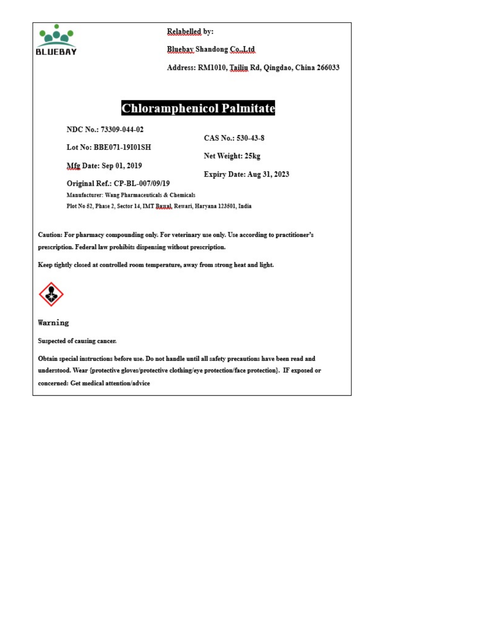

Relabelled by:

Bluebay Shandong Co., Ltd

Address: RM1010, Tailin Rd, Qingdao, China 266033

### **Chloramphenicol Palmitate**

NDC No.: 73309-044-02

CAS No.: 530-43-8

Lot No: BBE071-19101SH

Net Weight: 25kg

Mfg Date: Sep 01, 2019

Original Ref.: CP-BL-007/09/19

Expiry Date: Aug 31, 2023

Manufacturer: Wang Pharmaceuticals & Chemicals Plot No 52, Phase 2, Sector 14, IMT Banal, Rewari, Haryana 123501, India

Caution: For pharmacy compounding only. For veterinary use only. Use according to practitioner's prescription. Federal law prohibits dispensing without prescription.

Keep tightly closed at controlled room temperature, away from strong heat and light.



Warning

Suspected of causing cancer.

Obtain special instructions before use. Do not handle until all safety precautions have been read and understood. Wear {protective gloves/protective clothing/eye protection/face protection}. IF exposed or concerned: Get medical attention/advice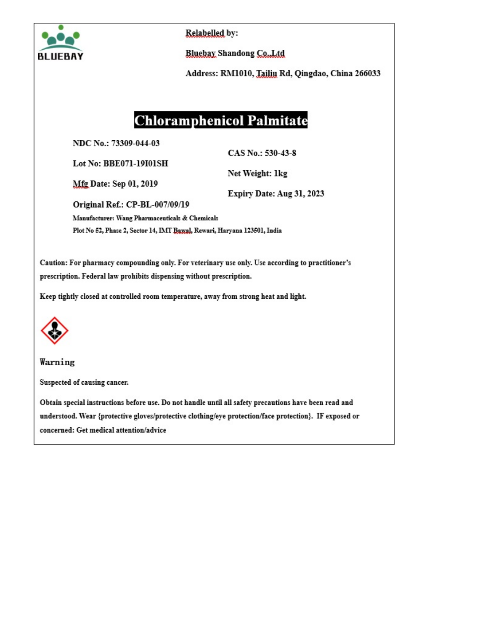

Relabelled by:

**Bluebay Shandong Co., Ltd** 

Address: RM1010, Tailiu Rd, Qingdao, China 266033

## **Chloramphenicol Palmitate**

NDC No.: 73309-044-03

Lot No: BBE071-19101SH

CAS No.: 530-43-8

Net Weight: 1kg

**Mfg Date: Sep 01, 2019** 

Original Ref.: CP-BL-007/09/19

Expiry Date: Aug 31, 2023

Manufacturer: Wang Pharmaceuticals & Chemicals Plot No 52, Phase 2, Sector 14, IMT Bawal, Rewari, Haryana 123501, India

Caution: For pharmacy compounding only. For veterinary use only. Use according to practitioner's prescription. Federal law prohibits dispensing without prescription.

Keep tightly closed at controlled room temperature, away from strong heat and light.



Warning

Suspected of causing cancer.

Obtain special instructions before use. Do not handle until all safety precautions have been read and understood. Wear {protective gloves/protective clothing/eye protection/face protection}. IF exposed or concerned: Get medical attention/advice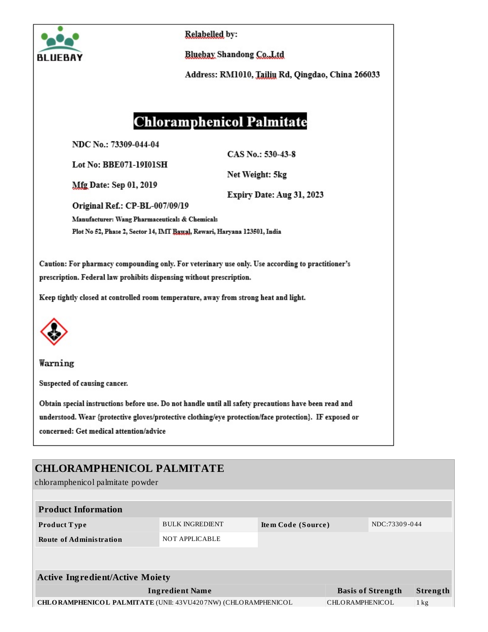

Relabelled by:

**Bluebay Shandong Co., Ltd** 

Address: RM1010, Tailiu Rd, Qingdao, China 266033

## **Chloramphenicol Palmitate**

NDC No.: 73309-044-04

CAS No.: 530-43-8

**Mfg Date: Sep 01, 2019** 

Lot No: BBE071-19101SH

Net Weight: 5kg

Expiry Date: Aug 31, 2023

Original Ref.: CP-BL-007/09/19

Manufacturer: Wang Pharmaceuticals & Chemicals

Plot No 52, Phase 2, Sector 14, IMT Bawal, Rewari, Haryana 123501, India

Caution: For pharmacy compounding only. For veterinary use only. Use according to practitioner's prescription. Federal law prohibits dispensing without prescription.

Keep tightly closed at controlled room temperature, away from strong heat and light.



Warning

Suspected of causing cancer.

Obtain special instructions before use. Do not handle until all safety precautions have been read and understood. Wear {protective gloves/protective clothing/eye protection/face protection}. IF exposed or concerned: Get medical attention/advice

### **CHLORAMPHENICOL PALMITATE**

chloramphenicol palmitate powder

| <b>Product Information</b>                                           |                        |                    |                 |                          |                |
|----------------------------------------------------------------------|------------------------|--------------------|-----------------|--------------------------|----------------|
| Product Type                                                         | <b>BULK INGREDIENT</b> | Item Code (Source) |                 | NDC:73309-044            |                |
| <b>Route of Administration</b>                                       | NOT APPLICABLE         |                    |                 |                          |                |
|                                                                      |                        |                    |                 |                          |                |
| <b>Active Ingredient/Active Moiety</b>                               |                        |                    |                 |                          |                |
|                                                                      |                        |                    |                 |                          |                |
|                                                                      |                        |                    |                 |                          |                |
| <b>CHLORAMPHENICOL PALMITATE (UNII: 43VU4207NW) (CHLORAMPHENICOL</b> |                        |                    | CHLORAMPHENICOL |                          | $1 \text{ kg}$ |
| <b>Ingredient Name</b>                                               |                        |                    |                 | <b>Basis of Strength</b> | Strength       |